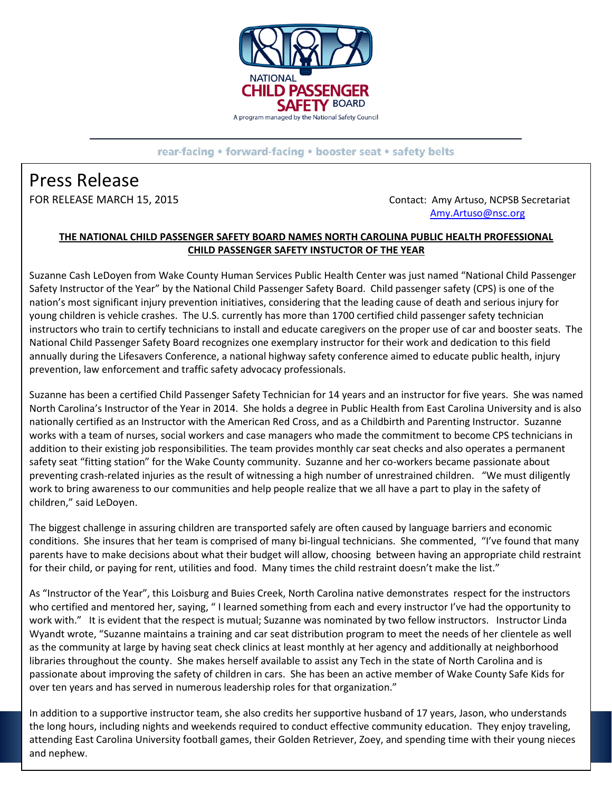

rear-facing • forward-facing • booster seat • safety belts

## Press Release

FOR RELEASE MARCH 15, 2015 **CONTACT: Amy Artuso, NCPSB Secretariat** [Amy.Artuso@nsc.org](mailto:Amy.Artuso@nsc.org)

## **THE NATIONAL CHILD PASSENGER SAFETY BOARD NAMES NORTH CAROLINA PUBLIC HEALTH PROFESSIONAL CHILD PASSENGER SAFETY INSTUCTOR OF THE YEAR**

Suzanne Cash LeDoyen from Wake County Human Services Public Health Center was just named "National Child Passenger Safety Instructor of the Year" by the National Child Passenger Safety Board. Child passenger safety (CPS) is one of the nation's most significant injury prevention initiatives, considering that the leading cause of death and serious injury for young children is vehicle crashes. The U.S. currently has more than 1700 certified child passenger safety technician instructors who train to certify technicians to install and educate caregivers on the proper use of car and booster seats. The National Child Passenger Safety Board recognizes one exemplary instructor for their work and dedication to this field annually during the Lifesavers Conference, a national highway safety conference aimed to educate public health, injury prevention, law enforcement and traffic safety advocacy professionals.

Suzanne has been a certified Child Passenger Safety Technician for 14 years and an instructor for five years. She was named North Carolina's Instructor of the Year in 2014. She holds a degree in Public Health from East Carolina University and is also nationally certified as an Instructor with the American Red Cross, and as a Childbirth and Parenting Instructor. Suzanne works with a team of nurses, social workers and case managers who made the commitment to become CPS technicians in addition to their existing job responsibilities. The team provides monthly car seat checks and also operates a permanent safety seat "fitting station" for the Wake County community. Suzanne and her co-workers became passionate about preventing crash-related injuries as the result of witnessing a high number of unrestrained children. "We must diligently work to bring awareness to our communities and help people realize that we all have a part to play in the safety of children," said LeDoyen.

The biggest challenge in assuring children are transported safely are often caused by language barriers and economic conditions. She insures that her team is comprised of many bi-lingual technicians. She commented, "I've found that many parents have to make decisions about what their budget will allow, choosing between having an appropriate child restraint for their child, or paying for rent, utilities and food. Many times the child restraint doesn't make the list."

As "Instructor of the Year", this Loisburg and Buies Creek, North Carolina native demonstrates respect for the instructors who certified and mentored her, saying, " I learned something from each and every instructor I've had the opportunity to work with." It is evident that the respect is mutual; Suzanne was nominated by two fellow instructors. Instructor Linda Wyandt wrote, "Suzanne maintains a training and car seat distribution program to meet the needs of her clientele as well as the community at large by having seat check clinics at least monthly at her agency and additionally at neighborhood libraries throughout the county. She makes herself available to assist any Tech in the state of North Carolina and is passionate about improving the safety of children in cars. She has been an active member of Wake County Safe Kids for over ten years and has served in numerous leadership roles for that organization."

In addition to a supportive instructor team, she also credits her supportive husband of 17 years, Jason, who understands the long hours, including nights and weekends required to conduct effective community education. They enjoy traveling, attending East Carolina University football games, their Golden Retriever, Zoey, and spending time with their young nieces and nephew.